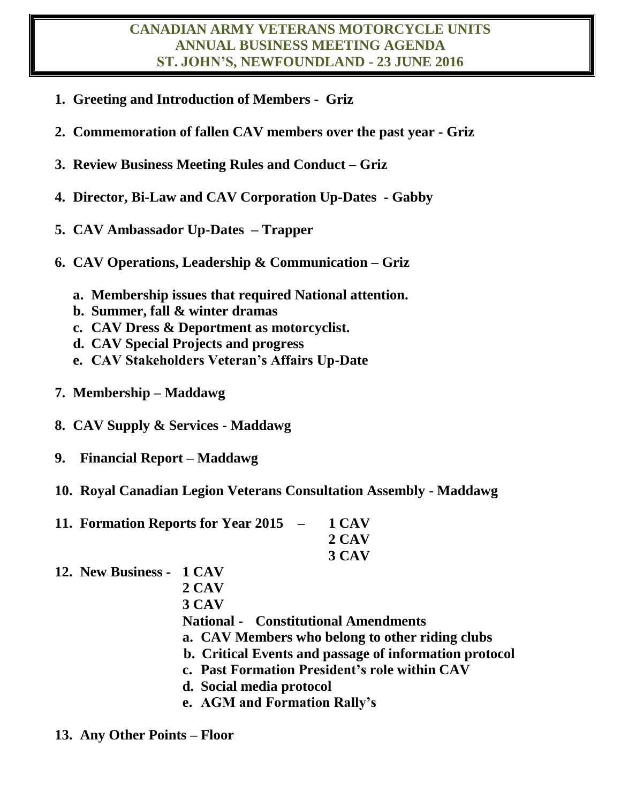#### **CANADIAN ARMY VETERANS MOTORCYCLE UNITS ANNUAL BUSINESS MEETING AGENDA ST. JOHN'S, NEWFOUNDLAND - 23 JUNE 2016**

- **1. Greeting and Introduction of Members Griz**
- **2. Commemoration of fallen CAV members over the past year - Griz**
- **3. Review Business Meeting Rules and Conduct – Griz**
- **4. Director, Bi-Law and CAV Corporation Up-Dates - Gabby**
- **5. CAV Ambassador Up-Dates – Trapper**
- **6. CAV Operations, Leadership & Communication – Griz**
	- **a. Membership issues that required National attention.**
	- **b. Summer, fall & winter dramas**
	- **c. CAV Dress & Deportment as motorcyclist.**
	- **d. CAV Special Projects and progress**
	- **e. CAV Stakeholders Veteran's Affairs Up-Date**
- **7. Membership – Maddawg**
- **8. CAV Supply & Services - Maddawg**
- **9. Financial Report – Maddawg**
- **10. Royal Canadian Legion Veterans Consultation Assembly - Maddawg**

| 11. Formation Reports for Year 2015 - 1 CAV |                 |
|---------------------------------------------|-----------------|
|                                             | $2 \text{ CAV}$ |
|                                             | 3 CAV           |

**12. New Business - 1 CAV**

**2 CAV 3 CAV National - Constitutional Amendments a. CAV Members who belong to other riding clubs b. Critical Events and passage of information protocol c. Past Formation President's role within CAV d. Social media protocol**

**e. AGM and Formation Rally's**

### **13. Any Other Points – Floor**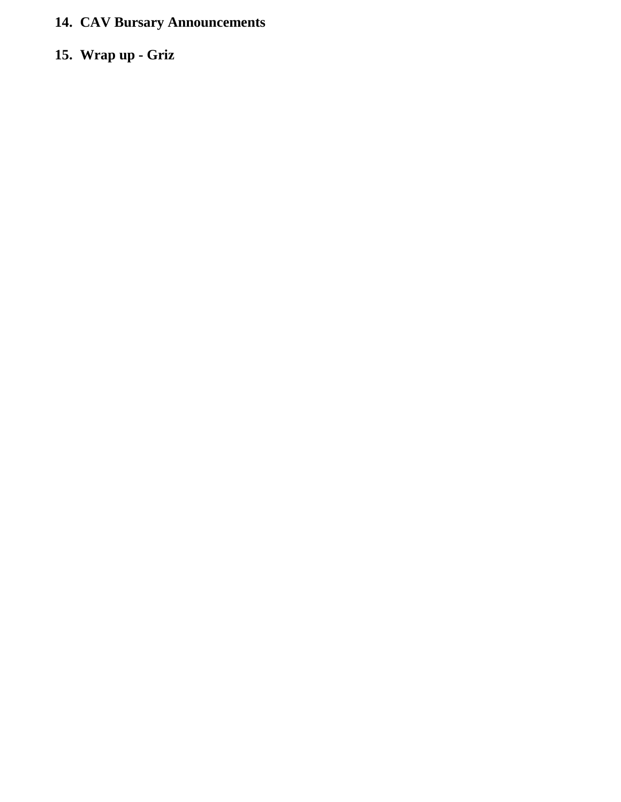# **14. CAV Bursary Announcements**

## **15. Wrap up - Griz**